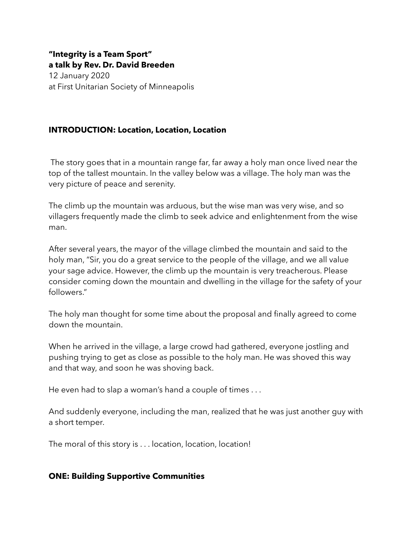### **"Integrity is a Team Sport" a talk by Rev. Dr. David Breeden**

12 January 2020 at First Unitarian Society of Minneapolis

# **INTRODUCTION: Location, Location, Location**

 The story goes that in a mountain range far, far away a holy man once lived near the top of the tallest mountain. In the valley below was a village. The holy man was the very picture of peace and serenity.

The climb up the mountain was arduous, but the wise man was very wise, and so villagers frequently made the climb to seek advice and enlightenment from the wise man.

After several years, the mayor of the village climbed the mountain and said to the holy man, "Sir, you do a great service to the people of the village, and we all value your sage advice. However, the climb up the mountain is very treacherous. Please consider coming down the mountain and dwelling in the village for the safety of your followers"

The holy man thought for some time about the proposal and finally agreed to come down the mountain.

When he arrived in the village, a large crowd had gathered, everyone jostling and pushing trying to get as close as possible to the holy man. He was shoved this way and that way, and soon he was shoving back.

He even had to slap a woman's hand a couple of times . . .

And suddenly everyone, including the man, realized that he was just another guy with a short temper.

The moral of this story is . . . location, location, location!

### **ONE: Building Supportive Communities**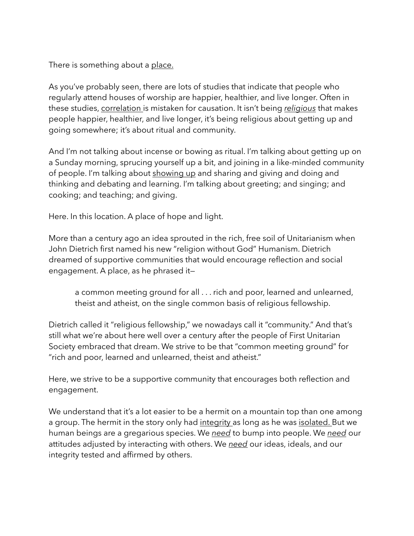There is something about a place.

As you've probably seen, there are lots of studies that indicate that people who regularly attend houses of worship are happier, healthier, and live longer. Often in these studies, correlation is mistaken for causation. It isn't being *religious* that makes people happier, healthier, and live longer, it's being religious about getting up and going somewhere; it's about ritual and community.

And I'm not talking about incense or bowing as ritual. I'm talking about getting up on a Sunday morning, sprucing yourself up a bit, and joining in a like-minded community of people. I'm talking about showing up and sharing and giving and doing and thinking and debating and learning. I'm talking about greeting; and singing; and cooking; and teaching; and giving.

Here. In this location. A place of hope and light.

More than a century ago an idea sprouted in the rich, free soil of Unitarianism when John Dietrich first named his new "religion without God" Humanism. Dietrich dreamed of supportive communities that would encourage reflection and social engagement. A place, as he phrased it—

a common meeting ground for all . . . rich and poor, learned and unlearned, theist and atheist, on the single common basis of religious fellowship.

Dietrich called it "religious fellowship," we nowadays call it "community." And that's still what we're about here well over a century after the people of First Unitarian Society embraced that dream. We strive to be that "common meeting ground" for "rich and poor, learned and unlearned, theist and atheist."

Here, we strive to be a supportive community that encourages both reflection and engagement.

We understand that it's a lot easier to be a hermit on a mountain top than one among a group. The hermit in the story only had integrity as long as he was isolated. But we human beings are a gregarious species. We *need* to bump into people. We *need* our attitudes adjusted by interacting with others. We *need* our ideas, ideals, and our integrity tested and affirmed by others.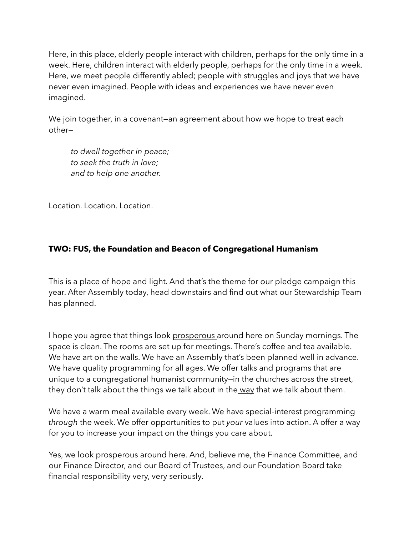Here, in this place, elderly people interact with children, perhaps for the only time in a week. Here, children interact with elderly people, perhaps for the only time in a week. Here, we meet people differently abled; people with struggles and joys that we have never even imagined. People with ideas and experiences we have never even imagined.

We join together, in a covenant–an agreement about how we hope to treat each other—

 *to dwell together in peace; to seek the truth in love; and to help one another.*

Location. Location. Location.

## **TWO: FUS, the Foundation and Beacon of Congregational Humanism**

This is a place of hope and light. And that's the theme for our pledge campaign this year. After Assembly today, head downstairs and find out what our Stewardship Team has planned.

I hope you agree that things look prosperous around here on Sunday mornings. The space is clean. The rooms are set up for meetings. There's coffee and tea available. We have art on the walls. We have an Assembly that's been planned well in advance. We have quality programming for all ages. We offer talks and programs that are unique to a congregational humanist community—in the churches across the street, they don't talk about the things we talk about in the way that we talk about them.

We have a warm meal available every week. We have special-interest programming *through* the week. We offer opportunities to put *your* values into action. A offer a way for you to increase your impact on the things you care about.

Yes, we look prosperous around here. And, believe me, the Finance Committee, and our Finance Director, and our Board of Trustees, and our Foundation Board take financial responsibility very, very seriously.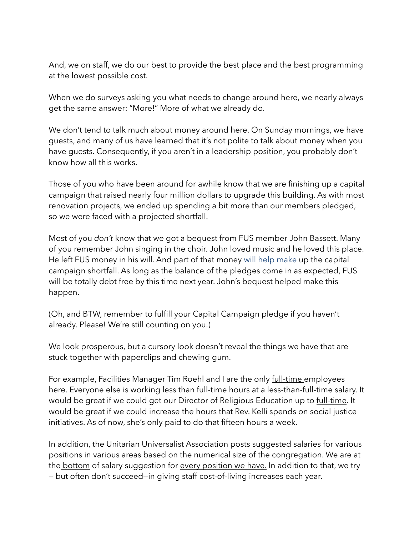And, we on staff, we do our best to provide the best place and the best programming at the lowest possible cost.

When we do surveys asking you what needs to change around here, we nearly always get the same answer: "More!" More of what we already do.

We don't tend to talk much about money around here. On Sunday mornings, we have guests, and many of us have learned that it's not polite to talk about money when you have guests. Consequently, if you aren't in a leadership position, you probably don't know how all this works.

Those of you who have been around for awhile know that we are finishing up a capital campaign that raised nearly four million dollars to upgrade this building. As with most renovation projects, we ended up spending a bit more than our members pledged, so we were faced with a projected shortfall.

Most of you *don't* know that we got a bequest from FUS member John Bassett. Many of you remember John singing in the choir. John loved music and he loved this place. He left FUS money in his will. And part of that money will help make up the capital campaign shortfall. As long as the balance of the pledges come in as expected, FUS will be totally debt free by this time next year. John's bequest helped make this happen.

(Oh, and BTW, remember to fulfill your Capital Campaign pledge if you haven't already. Please! We're still counting on you.)

We look prosperous, but a cursory look doesn't reveal the things we have that are stuck together with paperclips and chewing gum.

For example, Facilities Manager Tim Roehl and I are the only full-time employees here. Everyone else is working less than full-time hours at a less-than-full-time salary. It would be great if we could get our Director of Religious Education up to full-time. It would be great if we could increase the hours that Rev. Kelli spends on social justice initiatives. As of now, she's only paid to do that fifteen hours a week.

In addition, the Unitarian Universalist Association posts suggested salaries for various positions in various areas based on the numerical size of the congregation. We are at the bottom of salary suggestion for every position we have. In addition to that, we try — but often don't succeed—in giving staff cost-of-living increases each year.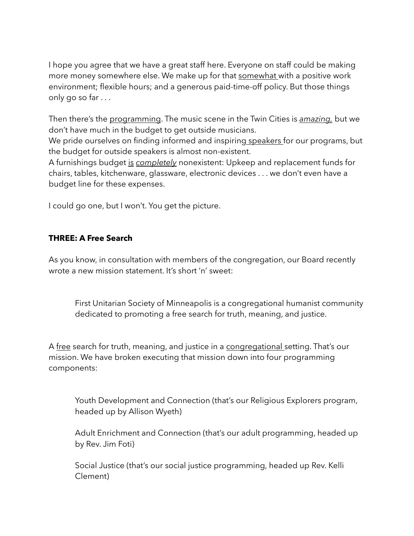I hope you agree that we have a great staff here. Everyone on staff could be making more money somewhere else. We make up for that somewhat with a positive work environment; flexible hours; and a generous paid-time-off policy. But those things only go so far . . .

Then there's the programming. The music scene in the Twin Cities is *amazing,* but we don't have much in the budget to get outside musicians.

We pride ourselves on finding informed and inspiring speakers for our programs, but the budget for outside speakers is almost non-existent.

A furnishings budget is *completely* nonexistent: Upkeep and replacement funds for chairs, tables, kitchenware, glassware, electronic devices . . . we don't even have a budget line for these expenses.

I could go one, but I won't. You get the picture.

# **THREE: A Free Search**

As you know, in consultation with members of the congregation, our Board recently wrote a new mission statement. It's short 'n' sweet:

First Unitarian Society of Minneapolis is a congregational humanist community dedicated to promoting a free search for truth, meaning, and justice.

A free search for truth, meaning, and justice in a congregational setting. That's our mission. We have broken executing that mission down into four programming components:

Youth Development and Connection (that's our Religious Explorers program, headed up by Allison Wyeth)

Adult Enrichment and Connection (that's our adult programming, headed up by Rev. Jim Foti)

Social Justice (that's our social justice programming, headed up Rev. Kelli Clement)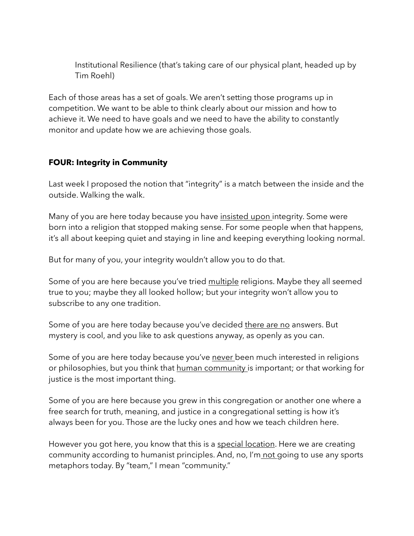Institutional Resilience (that's taking care of our physical plant, headed up by Tim Roehl)

Each of those areas has a set of goals. We aren't setting those programs up in competition. We want to be able to think clearly about our mission and how to achieve it. We need to have goals and we need to have the ability to constantly monitor and update how we are achieving those goals.

# **FOUR: Integrity in Community**

Last week I proposed the notion that "integrity" is a match between the inside and the outside. Walking the walk.

Many of you are here today because you have insisted upon integrity. Some were born into a religion that stopped making sense. For some people when that happens, it's all about keeping quiet and staying in line and keeping everything looking normal.

But for many of you, your integrity wouldn't allow you to do that.

Some of you are here because you've tried multiple religions. Maybe they all seemed true to you; maybe they all looked hollow; but your integrity won't allow you to subscribe to any one tradition.

Some of you are here today because you've decided there are no answers. But mystery is cool, and you like to ask questions anyway, as openly as you can.

Some of you are here today because you've never been much interested in religions or philosophies, but you think that human community is important; or that working for justice is the most important thing.

Some of you are here because you grew in this congregation or another one where a free search for truth, meaning, and justice in a congregational setting is how it's always been for you. Those are the lucky ones and how we teach children here.

However you got here, you know that this is a special location. Here we are creating community according to humanist principles. And, no, I'm not going to use any sports metaphors today. By "team," I mean "community."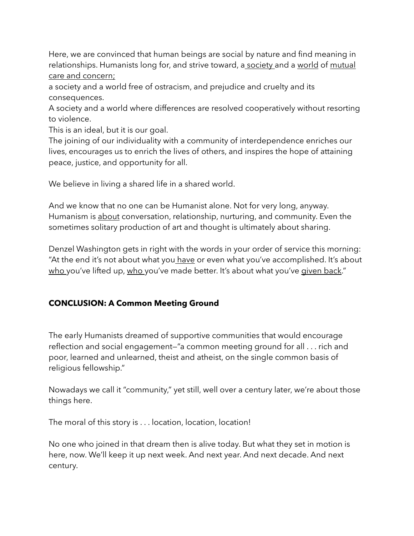Here, we are convinced that human beings are social by nature and find meaning in relationships. Humanists long for, and strive toward, a society and a world of mutual care and concern;

a society and a world free of ostracism, and prejudice and cruelty and its consequences.

A society and a world where differences are resolved cooperatively without resorting to violence.

This is an ideal, but it is our goal.

The joining of our individuality with a community of interdependence enriches our lives, encourages us to enrich the lives of others, and inspires the hope of attaining peace, justice, and opportunity for all.

We believe in living a shared life in a shared world.

And we know that no one can be Humanist alone. Not for very long, anyway. Humanism is about conversation, relationship, nurturing, and community. Even the sometimes solitary production of art and thought is ultimately about sharing.

Denzel Washington gets in right with the words in your order of service this morning: "At the end it's not about what you have or even what you've accomplished. It's about who you've lifted up, who you've made better. It's about what you've given back."

# **CONCLUSION: A Common Meeting Ground**

The early Humanists dreamed of supportive communities that would encourage reflection and social engagement—"a common meeting ground for all . . . rich and poor, learned and unlearned, theist and atheist, on the single common basis of religious fellowship."

Nowadays we call it "community," yet still, well over a century later, we're about those things here.

The moral of this story is . . . location, location, location!

No one who joined in that dream then is alive today. But what they set in motion is here, now. We'll keep it up next week. And next year. And next decade. And next century.